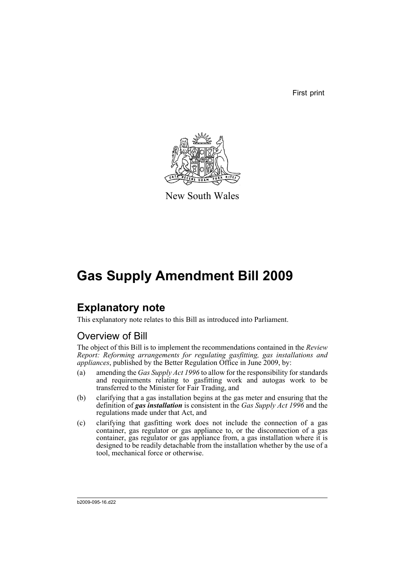First print



New South Wales

# **Gas Supply Amendment Bill 2009**

## **Explanatory note**

This explanatory note relates to this Bill as introduced into Parliament.

## Overview of Bill

The object of this Bill is to implement the recommendations contained in the *Review Report: Reforming arrangements for regulating gasfitting, gas installations and appliances*, published by the Better Regulation Office in June 2009, by:

- (a) amending the *Gas Supply Act 1996* to allow for the responsibility for standards and requirements relating to gasfitting work and autogas work to be transferred to the Minister for Fair Trading, and
- (b) clarifying that a gas installation begins at the gas meter and ensuring that the definition of *gas installation* is consistent in the *Gas Supply Act 1996* and the regulations made under that Act, and
- (c) clarifying that gasfitting work does not include the connection of a gas container, gas regulator or gas appliance to, or the disconnection of a gas container, gas regulator or gas appliance from, a gas installation where it is designed to be readily detachable from the installation whether by the use of a tool, mechanical force or otherwise.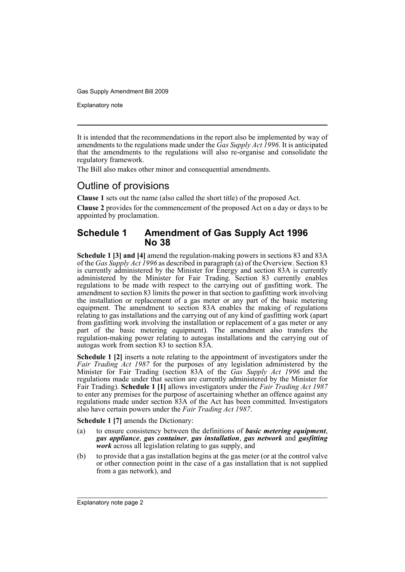Explanatory note

It is intended that the recommendations in the report also be implemented by way of amendments to the regulations made under the *Gas Supply Act 1996*. It is anticipated that the amendments to the regulations will also re-organise and consolidate the regulatory framework.

The Bill also makes other minor and consequential amendments.

### Outline of provisions

**Clause 1** sets out the name (also called the short title) of the proposed Act.

**Clause 2** provides for the commencement of the proposed Act on a day or days to be appointed by proclamation.

### **Schedule 1 Amendment of Gas Supply Act 1996 No 38**

**Schedule 1 [3] and [4]** amend the regulation-making powers in sections 83 and 83A of the *Gas Supply Act 1996* as described in paragraph (a) of the Overview. Section 83 is currently administered by the Minister for Energy and section 83A is currently administered by the Minister for Fair Trading. Section 83 currently enables regulations to be made with respect to the carrying out of gasfitting work. The amendment to section 83 limits the power in that section to gasfitting work involving the installation or replacement of a gas meter or any part of the basic metering equipment. The amendment to section 83A enables the making of regulations relating to gas installations and the carrying out of any kind of gasfitting work (apart from gasfitting work involving the installation or replacement of a gas meter or any part of the basic metering equipment). The amendment also transfers the regulation-making power relating to autogas installations and the carrying out of autogas work from section 83 to section 83A.

**Schedule 1 [2]** inserts a note relating to the appointment of investigators under the Fair Trading Act 1987 for the purposes of any legislation administered by the Minister for Fair Trading (section 83A of the *Gas Supply Act 1996* and the regulations made under that section are currently administered by the Minister for Fair Trading). **Schedule 1 [1]** allows investigators under the *Fair Trading Act 1987* to enter any premises for the purpose of ascertaining whether an offence against any regulations made under section 83A of the Act has been committed. Investigators also have certain powers under the *Fair Trading Act 1987*.

**Schedule 1 [7]** amends the Dictionary:

- (a) to ensure consistency between the definitions of *basic metering equipment*, *gas appliance*, *gas container*, *gas installation*, *gas network* and *gasfitting work* across all legislation relating to gas supply, and
- (b) to provide that a gas installation begins at the gas meter (or at the control valve or other connection point in the case of a gas installation that is not supplied from a gas network), and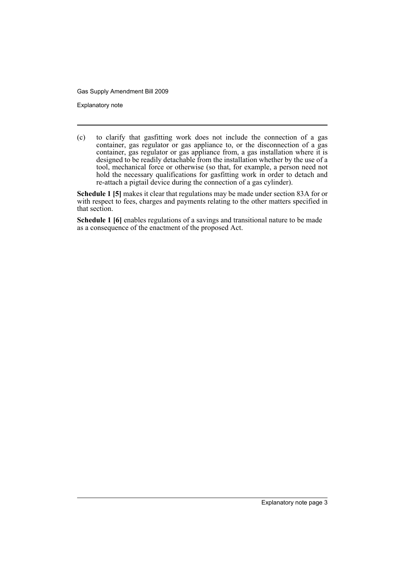Explanatory note

(c) to clarify that gasfitting work does not include the connection of a gas container, gas regulator or gas appliance to, or the disconnection of a gas container, gas regulator or gas appliance from, a gas installation where it is designed to be readily detachable from the installation whether by the use of a tool, mechanical force or otherwise (so that, for example, a person need not hold the necessary qualifications for gasfitting work in order to detach and re-attach a pigtail device during the connection of a gas cylinder).

**Schedule 1 [5]** makes it clear that regulations may be made under section 83A for or with respect to fees, charges and payments relating to the other matters specified in that section.

**Schedule 1 [6]** enables regulations of a savings and transitional nature to be made as a consequence of the enactment of the proposed Act.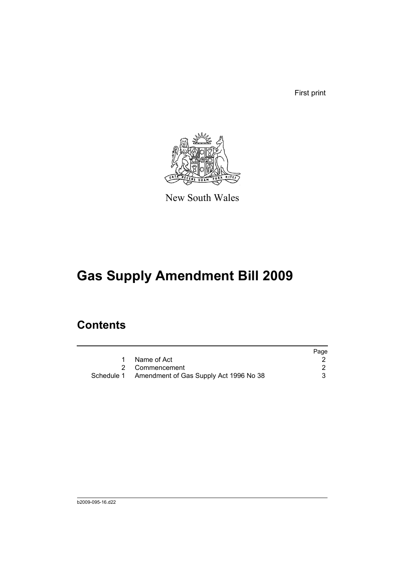First print



New South Wales

# **Gas Supply Amendment Bill 2009**

## **Contents**

|                                                   | Page |
|---------------------------------------------------|------|
| Name of Act                                       |      |
| 2 Commencement                                    |      |
| Schedule 1 Amendment of Gas Supply Act 1996 No 38 |      |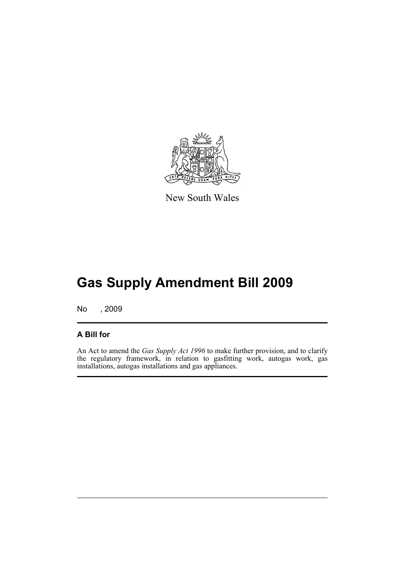

New South Wales

# **Gas Supply Amendment Bill 2009**

No , 2009

#### **A Bill for**

An Act to amend the *Gas Supply Act 1996* to make further provision, and to clarify the regulatory framework, in relation to gasfitting work, autogas work, gas installations, autogas installations and gas appliances.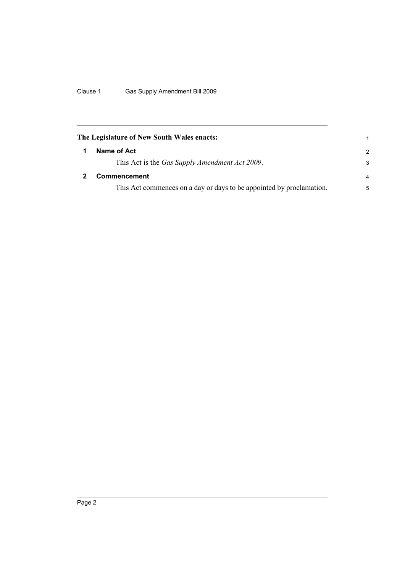<span id="page-7-1"></span><span id="page-7-0"></span>

| The Legislature of New South Wales enacts:                           | 1             |
|----------------------------------------------------------------------|---------------|
| Name of Act                                                          | $\mathcal{P}$ |
| This Act is the Gas Supply Amendment Act 2009.                       | 3             |
| <b>Commencement</b>                                                  | 4             |
| This Act commences on a day or days to be appointed by proclamation. | 5             |
|                                                                      |               |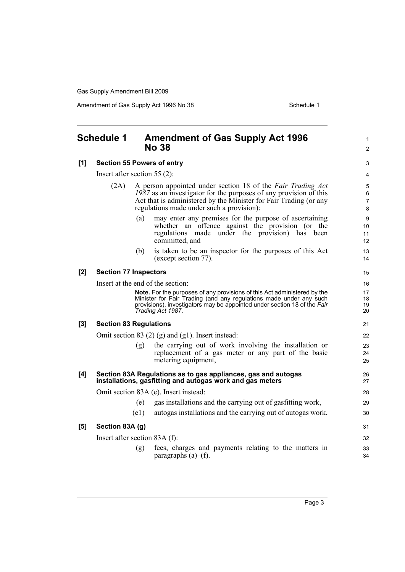Amendment of Gas Supply Act 1996 No 38 Schedule 1

<span id="page-8-0"></span>

| <b>Schedule 1</b>                |                                                                      |      | <b>Amendment of Gas Supply Act 1996</b><br><b>No 38</b>                                                                                                                                                                                              | $\mathbf{1}$<br>$\overline{2}$      |  |
|----------------------------------|----------------------------------------------------------------------|------|------------------------------------------------------------------------------------------------------------------------------------------------------------------------------------------------------------------------------------------------------|-------------------------------------|--|
| [1]                              | <b>Section 55 Powers of entry</b><br>Insert after section 55 $(2)$ : |      |                                                                                                                                                                                                                                                      |                                     |  |
|                                  |                                                                      |      |                                                                                                                                                                                                                                                      |                                     |  |
|                                  | (2A)                                                                 |      | A person appointed under section 18 of the Fair Trading Act<br>$1987$ as an investigator for the purposes of any provision of this<br>Act that is administered by the Minister for Fair Trading (or any<br>regulations made under such a provision): | 5<br>6<br>$\overline{7}$<br>$\bf 8$ |  |
|                                  |                                                                      | (a)  | may enter any premises for the purpose of ascertaining<br>whether an offence against the provision (or the<br>regulations made under the provision) has been<br>committed, and                                                                       | 9<br>10<br>11<br>12                 |  |
|                                  |                                                                      | (b)  | is taken to be an inspector for the purposes of this Act<br>(except section 77).                                                                                                                                                                     | 13<br>14                            |  |
| $[2]$                            | <b>Section 77 Inspectors</b>                                         |      |                                                                                                                                                                                                                                                      | 15                                  |  |
|                                  |                                                                      |      | Insert at the end of the section:                                                                                                                                                                                                                    | 16                                  |  |
|                                  |                                                                      |      | Note. For the purposes of any provisions of this Act administered by the<br>Minister for Fair Trading (and any regulations made under any such<br>provisions), investigators may be appointed under section 18 of the Fair<br>Trading Act 1987.      | 17<br>18<br>19<br>20                |  |
| [3]                              | <b>Section 83 Regulations</b>                                        |      |                                                                                                                                                                                                                                                      | 21                                  |  |
|                                  |                                                                      |      | Omit section 83 $(2)$ (g) and (g1). Insert instead:                                                                                                                                                                                                  | 22                                  |  |
|                                  |                                                                      | (g)  | the carrying out of work involving the installation or<br>replacement of a gas meter or any part of the basic<br>metering equipment,                                                                                                                 | 23<br>24<br>25                      |  |
| [4]                              |                                                                      |      | Section 83A Regulations as to gas appliances, gas and autogas<br>installations, gasfitting and autogas work and gas meters                                                                                                                           | 26<br>27                            |  |
|                                  | Omit section 83A (e). Insert instead:                                |      |                                                                                                                                                                                                                                                      |                                     |  |
|                                  |                                                                      | (e)  | gas installations and the carrying out of gasfitting work,                                                                                                                                                                                           | 29                                  |  |
|                                  |                                                                      | (e1) | autogas installations and the carrying out of autogas work,                                                                                                                                                                                          | 30                                  |  |
| [5]                              | Section 83A (g)                                                      |      |                                                                                                                                                                                                                                                      | 31                                  |  |
| Insert after section 83A $(f)$ : |                                                                      |      |                                                                                                                                                                                                                                                      |                                     |  |
|                                  |                                                                      | (g)  | fees, charges and payments relating to the matters in<br>paragraphs $(a)$ – $(f)$ .                                                                                                                                                                  | 33<br>34                            |  |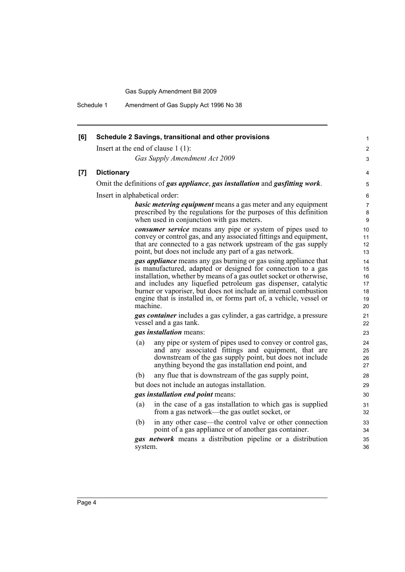Schedule 1 Amendment of Gas Supply Act 1996 No 38

| [6] | Schedule 2 Savings, transitional and other provisions                                                                                                                                                                                                                                                                                                                                                                                 | 1                                      |
|-----|---------------------------------------------------------------------------------------------------------------------------------------------------------------------------------------------------------------------------------------------------------------------------------------------------------------------------------------------------------------------------------------------------------------------------------------|----------------------------------------|
|     | Insert at the end of clause $1(1)$ :                                                                                                                                                                                                                                                                                                                                                                                                  | $\overline{c}$                         |
|     | Gas Supply Amendment Act 2009                                                                                                                                                                                                                                                                                                                                                                                                         | 3                                      |
| [7] | <b>Dictionary</b>                                                                                                                                                                                                                                                                                                                                                                                                                     | 4                                      |
|     | Omit the definitions of gas appliance, gas installation and gasfitting work.                                                                                                                                                                                                                                                                                                                                                          | 5                                      |
|     | Insert in alphabetical order:                                                                                                                                                                                                                                                                                                                                                                                                         | 6                                      |
|     | <b>basic metering equipment</b> means a gas meter and any equipment<br>prescribed by the regulations for the purposes of this definition<br>when used in conjunction with gas meters.                                                                                                                                                                                                                                                 | 7<br>8<br>9                            |
|     | consumer service means any pipe or system of pipes used to<br>convey or control gas, and any associated fittings and equipment,<br>that are connected to a gas network upstream of the gas supply<br>point, but does not include any part of a gas network.                                                                                                                                                                           | 10<br>11<br>12<br>13                   |
|     | <b>gas appliance</b> means any gas burning or gas using appliance that<br>is manufactured, adapted or designed for connection to a gas<br>installation, whether by means of a gas outlet socket or otherwise,<br>and includes any liquefied petroleum gas dispenser, catalytic<br>burner or vaporiser, but does not include an internal combustion<br>engine that is installed in, or forms part of, a vehicle, vessel or<br>machine. | 14<br>15<br>16<br>17<br>18<br>19<br>20 |
|     | <b>gas container</b> includes a gas cylinder, a gas cartridge, a pressure<br>vessel and a gas tank.                                                                                                                                                                                                                                                                                                                                   | 21<br>22                               |
|     | gas installation means:                                                                                                                                                                                                                                                                                                                                                                                                               | 23                                     |
|     | any pipe or system of pipes used to convey or control gas,<br>(a)<br>and any associated fittings and equipment, that are<br>downstream of the gas supply point, but does not include<br>anything beyond the gas installation end point, and                                                                                                                                                                                           | 24<br>25<br>26<br>27                   |
|     | any flue that is downstream of the gas supply point,<br>(b)                                                                                                                                                                                                                                                                                                                                                                           | 28                                     |
|     | but does not include an autogas installation.                                                                                                                                                                                                                                                                                                                                                                                         | 29                                     |
|     | gas installation end point means:                                                                                                                                                                                                                                                                                                                                                                                                     | 30                                     |
|     | in the case of a gas installation to which gas is supplied<br>(a)<br>from a gas network—the gas outlet socket, or                                                                                                                                                                                                                                                                                                                     | 31<br>32                               |
|     | in any other case—the control valve or other connection<br>(b)<br>point of a gas appliance or of another gas container.                                                                                                                                                                                                                                                                                                               | 33<br>34                               |
|     | <b>gas network</b> means a distribution pipeline or a distribution<br>system.                                                                                                                                                                                                                                                                                                                                                         | 35<br>36                               |